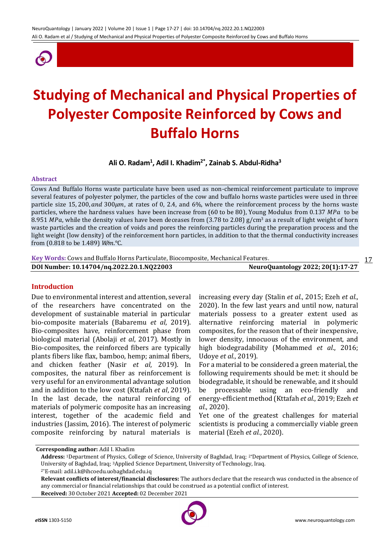

# **Studying of Mechanical and Physical Properties of Polyester Composite Reinforced by Cows and Buffalo Horns**

**Ali O. Radam<sup>1</sup> , Adil I. Khadim2\* , Zainab S. Abdul-Ridha<sup>3</sup>**

#### **Abstract**

Cows And Buffalo Horns waste particulate have been used as non-chemical reinforcement particulate to improve several features of polyester polymer, the particles of the cow and buffalo horns waste particles were used in three particle size 15, 200, and 300 $\mu$ m, at rates of 0, 2.4, and 6%, where the reinforcement process by the horns waste particles, where the hardness values have been increase from (60 to be 80), Young Modulus from 0.137 MPa to be 8.951 MPa, while the density values have been deceases from (3.78 to 2.08)  $g/cm^3$  as a result of light weight of horn waste particles and the creation of voids and pores the reinforcing particles during the preparation process and the light weight (low density) of the reinforcement horn particles, in addition to that the thermal conductivity increases from (0.818 to be 1.489) *W/m*.°C.

| Key Words: Cows and Buffalo Horns Particulate, Biocomposite, Mechanical Features. |                                   | 1 7 |
|-----------------------------------------------------------------------------------|-----------------------------------|-----|
| DOI Number: 10.14704/nq.2022.20.1.NQ22003                                         | NeuroQuantology 2022; 20(1):17-27 |     |

### **Introduction**

Due to environmental interest and attention, several of the researchers have concentrated on the development of sustainable material in particular bio-composite materials (Babaremu *et al*, 2019). Bio-composites have, reinforcement phase from biological material (Abolaji *et al*, 2017). Mostly in Bio-composites, the reinforced fibers are typically plants fibers like flax, bamboo, hemp; animal fibers, and chicken feather (Nasir *et al*, 2019). In composites, the natural fiber as reinforcement is very useful for an environmental advantage solution and in addition to the low cost (Kttafah *et al*, 2019). In the last decade, the natural reinforcing of materials of polymeric composite has an increasing interest, together of the academic field and industries (Jassim, 2016). The interest of polymeric composite reinforcing by natural materials is

increasing every day (Stalin *et al.*, 2015; Ezeh *et al.*, 2020). In the few last years and until now, natural materials possess to a greater extent used as alternative reinforcing material in polymeric composites, for the reason that of their inexpensive, lower density, innocuous of the environment, and high biodegradability (Mohammed *et al.*, 2016; Udoye *et al.*, 2019).

For a material to be considered a green material, the following requirements should be met: it should be biodegradable, it should be renewable, and it should be processable using an eco-friendly and energy-efficient method (Kttafah *et al.*, 2019; Ezeh *et al.*, 2020).

Yet one of the greatest challenges for material scientists is producing a commercially viable green material (Ezeh *et al.*, 2020).

**Corresponding author:** Adil I. Khadim



**Address:** 1Department of Physics, College of Science, University of Baghdad, Iraq; 2\*Department of Physics, College of Science, University of Baghdad, Iraq; 3Applied Science Department, University of Technology, Iraq.

<sup>2\*</sup>E-mail: adil.i.k@ihcoedu.uobaghdad.edu.iq

**Relevant conflicts of interest/financial disclosures:** The authors declare that the research was conducted in the absence of any commercial or financial relationships that could be construed as a potential conflict of interest. **Received:** 30 October 2021 **Accepted:** 02 December 2021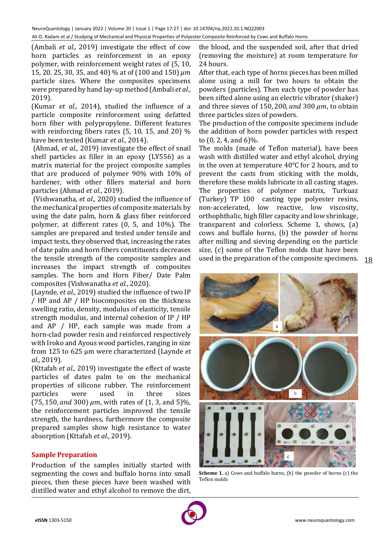(Ambali *et al.,* 2019) investigate the effect of cow horn particles as reinforcement in an epoxy polymer, with reinforcement weight rates of (5, 10, 15, 20. 25, 30, 35, and 40) % at of (100 and 150)  $\mu$ m particle sizes. Where the composites specimens were prepared by hand lay-up method (Ambali *et al.*, 2019).

(Kumar *et al*.*,* 2014), studied the influence of a particle composite reinforcement using defatted horn fiber with polypropylene. Different features with reinforcing fibers rates (5, 10, 15, and 20) % have been tested (Kumar *et al.*, 2014).

(Ahmad, *et al.,* 2019) investigate the effect of snail shell particles as filler in an epoxy (LY556) as a matrix material for the project composite samples that are produced of polymer 90% with 10% of hardener, with other fillers material and horn particles (Ahmad *et al.*, 2019).

(Vishwanatha, *et al.,* 2020) studied the influence of the mechanical properties of composite materials by using the date palm, horn & glass fiber reinforced polymer, at different rates (0, 5, and 10%). The samples are prepared and tested under tensile and impact tests, they observed that, increasing the rates of date palm and horn fibers constituents decreases the tensile strength of the composite samples and increases the impact strength of composites samples. The horn and Horn Fiber/ Date Palm composites (Vishwanatha *et al.*, 2020).

(Laynde, *et al.,* 2019) studied the influence of two IP / HP and AP / HP biocomposites on the thickness swelling ratio, density, modulus of elasticity, tensile strength modulus, and internal cohesion of IP / HP and AP / HP, each sample was made from a horn-clad powder resin and reinforced respectively with Iroko and Ayous wood particles, ranging in size from 125 to 625 μm were characterized (Laynde *et al.*, 2019).

(Kttafah *et al.,* 2019) investigate the effect of waste particles of dates palm to on the mechanical properties of silicone rubber. The reinforcement particles were used in three sizes  $(75, 150, and 300) \mu m$ , with rates of  $(1, 3, and 5)\%$ , the reinforcement particles improved the tensile strength, the hardness, furthermore the composite prepared samples show high resistance to water absorption (Kttafah *et al.*, 2019).

## **Sample Preparation**

Production of the samples initially started with segmenting the cows and buffalo horns into small pieces, then these pieces have been washed with distilled water and ethyl alcohol to remove the dirt,

the blood, and the suspended soil, after that dried (removing the moisture) at room temperature for 24 hours.

After that, each type of horns pieces has been milled alone using a mill for two hours to obtain the powders (particles). Then each type of powder has been sifted alone using an electric vibrator (shaker) and three sieves of 150, 200, and 300  $\mu$ m, to obtain three particles sizes of powders.

The production of the composite specimens include the addition of horn powder particles with respect to (0, 2, 4, and 6)%.

used in the preparation of the composite specimens. 18 The molds (made of Teflon material), have been wash with distilled water and ethyl alcohol, drying in the oven at temperature 40℃ for 2 hours, and to prevent the casts from sticking with the molds, therefore these molds lubricate in all casting stages. The properties of polymer matrix, Turkuaz (Turkey) TP 100 casting type polyester resins, non-accelerated, low reactive, low viscosity, orthophthalic, high filler capacity and low shrinkage, transparent and colorless. Scheme 1, shows, (a) cows and buffalo horns, (b) the powder of horns after milling and sieving depending on the particle size, (c) some of the Teflon molds that have been



**Scheme 1.** a) Cows and buffalo horns, (b) the powder of horns (c) the Teflon molds

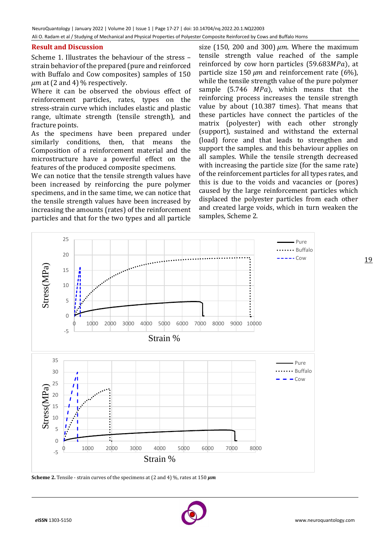## **Result and Discussion**

Scheme 1. Illustrates the behaviour of the stress – strain behavior of the prepared (pure and reinforced with Buffalo and Cow composites) samples of 150  $\mu$ m at (2 and 4) % respectively.

Where it can be observed the obvious effect of reinforcement particles, rates, types on the stress-strain curve which includes elastic and plastic range, ultimate strength (tensile strength), and fracture points.

As the specimens have been prepared under similarly conditions, then, that means the Composition of a reinforcement material and the microstructure have a powerful effect on the features of the produced composite specimens.

We can notice that the tensile strength values have been increased by reinforcing the pure polymer specimens, and in the same time, we can notice that the tensile strength values have been increased by increasing the amounts (rates) of the reinforcement particles and that for the two types and all particle

size (150, 200 and 300)  $\mu$ m. Where the maximum tensile strength value reached of the sample reinforced by cow horn particles  $(59.683 MPa)$ , at particle size 150  $\mu$ m and reinforcement rate (6%), while the tensile strength value of the pure polymer sample  $(5.746 \, MPa)$ , which means that the reinforcing process increases the tensile strength value by about (10.387 times). That means that these particles have connect the particles of the matrix (polyester) with each other strongly (support), sustained and withstand the external (load) force and that leads to strengthen and support the samples. and this behaviour applies on all samples. While the tensile strength decreased with increasing the particle size (for the same rate) of the reinforcement particles for all types rates, and this is due to the voids and vacancies or (pores) caused by the large reinforcement particles which displaced the polyester particles from each other and created large voids, which in turn weaken the samples, Scheme 2.



**Scheme 2.** Tensile - strain curves of the specimens at (2 and 4)  $\%$ , rates at 150  $\mu$ m

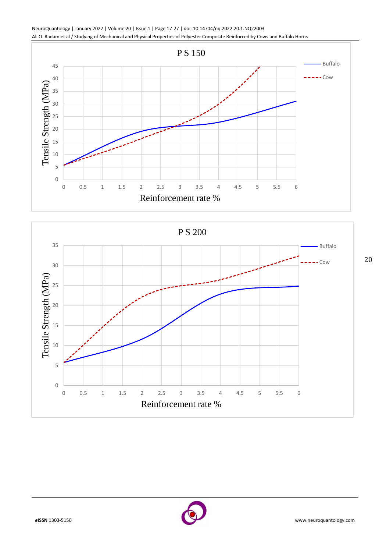NeuroQuantology | January 2022 | Volume 20 | Issue 1 | Page 17-27 | doi: 10.14704/nq.2022.20.1.NQ22003 Ali O. Radam et al / Studying of Mechanical and Physical Properties of Polyester Composite Reinforced by Cows and Buffalo Horns





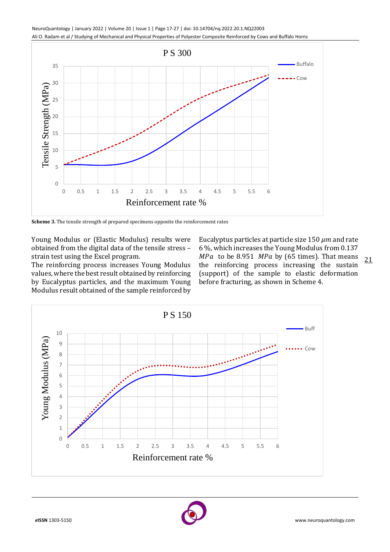NeuroQuantology | January 2022 | Volume 20 | Issue 1 | Page 17-27 | doi: 10.14704/nq.2022.20.1.NQ22003 Ali O. Radam et al / Studying of Mechanical and Physical Properties of Polyester Composite Reinforced by Cows and Buffalo Horns



**Scheme 3.** The tensile strength of prepared specimens opposite the reinforcement rates

Young Modulus or (Elastic Modulus) results were obtained from the digital data of the tensile stress – strain test using the Excel program.

The reinforcing process increases Young Modulus values, where the best result obtained by reinforcing by Eucalyptus particles, and the maximum Young Modulusresult obtained of the sample reinforced by

21 Eucalyptus particles at particle size 150  $\mu$ m and rate 6 %, which increases the Young Modulusfrom 0.137  $MPa$  to be 8.951  $MPa$  by (65 times). That means the reinforcing process increasing the sustain (support) of the sample to elastic deformation before fracturing, as shown in Scheme 4.



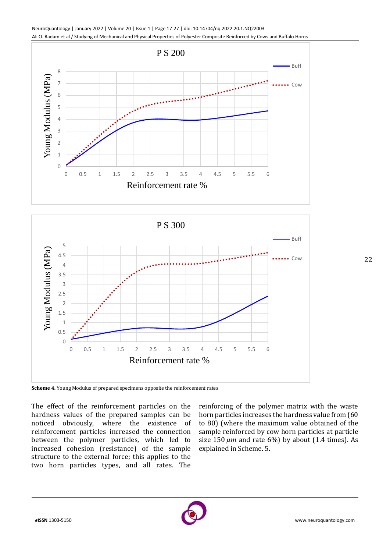





**Scheme 4.** Young Modulus of prepared specimens opposite the reinforcement rates

The effect of the reinforcement particles on the hardness values of the prepared samples can be noticed obviously, where the existence of reinforcement particles increased the connection between the polymer particles, which led to increased cohesion (resistance) of the sample structure to the external force; this applies to the two horn particles types, and all rates. The

reinforcing of the polymer matrix with the waste horn particles increases the hardness value from (60 to 80) (where the maximum value obtained of the sample reinforced by cow horn particles at particle size 150  $\mu$ m and rate 6%) by about (1.4 times). As explained in Scheme. 5.

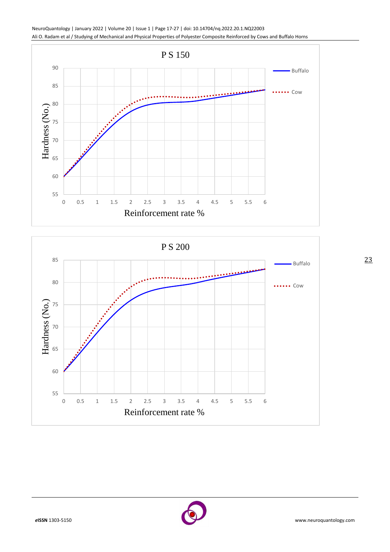





23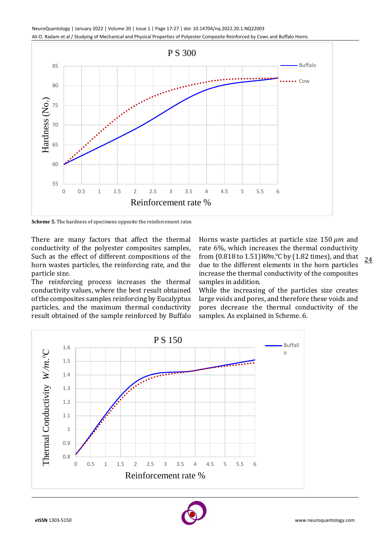

**Scheme 5.** The hardness of specimens opposite the reinforcement rates

There are many factors that affect the thermal conductivity of the polyester composites samples, Such as the effect of different compositions of the horn wastes particles, the reinforcing rate, and the particle size.

The reinforcing process increases the thermal conductivity values, where the best result obtained of the composites samples reinforcing by Eucalyptus particles, and the maximum thermal conductivity result obtained of the sample reinforced by Buffalo

24 Horns waste particles at particle size 150  $\mu$ m and rate 6%, which increases the thermal conductivity from (0.818 to 1.51)*W/m*.°C by (1.82 times), and that due to the different elements in the horn particles increase the thermal conductivity of the composites samples in addition.

While the increasing of the particles size creates large voids and pores, and therefore these voids and pores decrease the thermal conductivity of the samples. As explained in Scheme. 6.



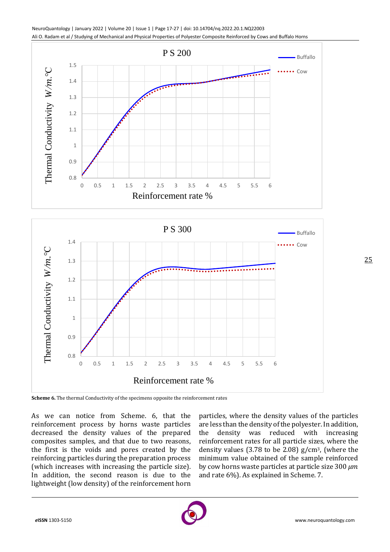



As we can notice from Scheme. 6, that the reinforcement process by horns waste particles decreased the density values of the prepared composites samples, and that due to two reasons,

the first is the voids and pores created by the reinforcing particles during the preparation process (which increases with increasing the particle size). In addition, the second reason is due to the lightweight (low density) of the reinforcement horn

particles, where the density values of the particles are less than the density of the polyester. In addition, the density was reduced with increasing reinforcement rates for all particle sizes, where the density values (3.78 to be 2.08)  $g/cm^3$ , (where the minimum value obtained of the sample reinforced by cow horns waste particles at particle size 300  $\mu$ m and rate 6%). As explained in Scheme. 7.

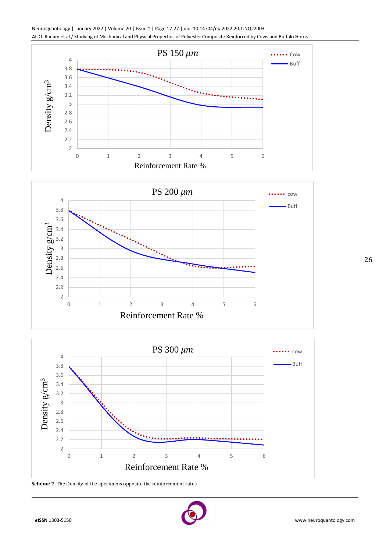







**Scheme 7.** The Density of the specimens opposite the reinforcement rates